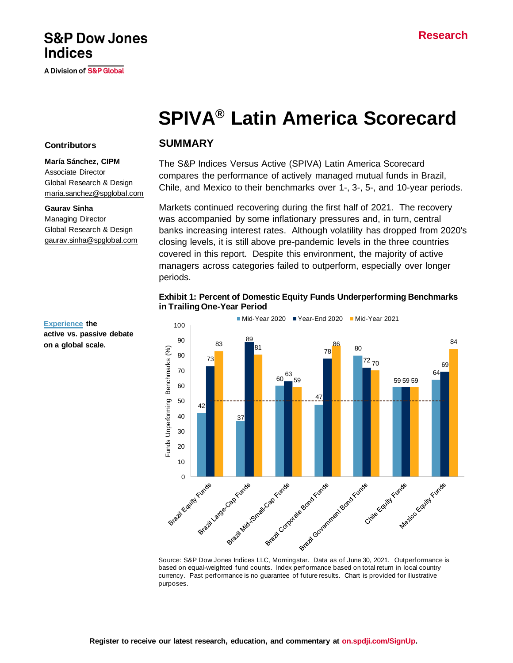## **S&P Dow Jones Indices**

A Division of S&P Global

# **SPIVA® Latin America Scorecard**

#### **Contributors**

#### **María Sánchez, CIPM**

Associate Director Global Research & Design [maria.sanchez@spglobal.com](mailto:maria.sanchez@spglobal.com)

#### **Gaurav Sinha**

Managing Director Global Research & Design [gaurav.sinha@spglobal.com](mailto:berlinda.liu@spglobal.com)

#### **SUMMARY**

The S&P Indices Versus Active (SPIVA) Latin America Scorecard compares the performance of actively managed mutual funds in Brazil, Chile, and Mexico to their benchmarks over 1-, 3-, 5-, and 10-year periods.

Markets continued recovering during the first half of 2021. The recovery was accompanied by some inflationary pressures and, in turn, central banks increasing interest rates. Although volatility has dropped from 2020's closing levels, it is still above pre-pandemic levels in the three countries covered in this report. Despite this environment, the majority of active managers across categories failed to outperform, especially over longer periods.

#### **Exhibit 1: Percent of Domestic Equity Funds Underperforming Benchmarks in Trailing One-Year Period**



based on equal-weighted fund counts. Index performance based on total return in local country currency. Past performance is no guarantee of future results. Chart is provided for illustrative purposes.

**active vs. passive debate on a global scale.**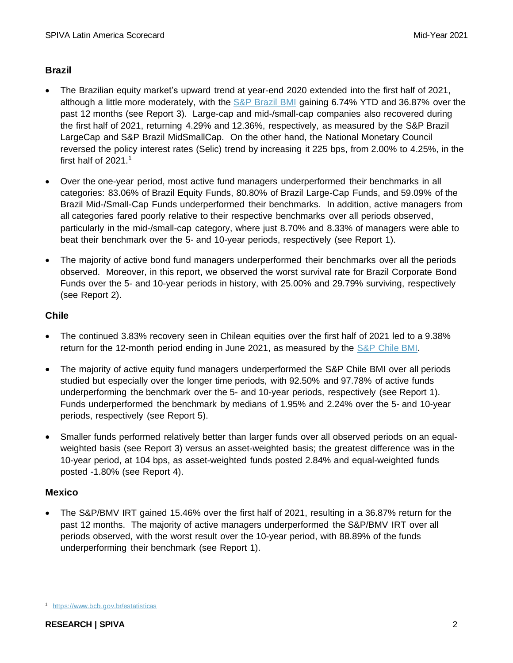### **Brazil**

- The Brazilian equity market's upward trend at year-end 2020 extended into the first half of 2021, although a little more moderately, with the [S&P Brazil BMI](https://www.spglobal.com/spdji/en/indices/equity/sp-brazil-bmi/?utm_source=pdf_spiva) gaining 6.74% YTD and 36.87% over the past 12 months (see Report 3). Large-cap and mid-/small-cap companies also recovered during the first half of 2021, returning 4.29% and 12.36%, respectively, as measured by the S&P Brazil LargeCap and S&P Brazil MidSmallCap. On the other hand, the National Monetary Council reversed the policy interest rates (Selic) trend by increasing it 225 bps, from 2.00% to 4.25%, in the first half of  $2021.<sup>1</sup>$
- Over the one-year period, most active fund managers underperformed their benchmarks in all categories: 83.06% of Brazil Equity Funds, 80.80% of Brazil Large-Cap Funds, and 59.09% of the Brazil Mid-/Small-Cap Funds underperformed their benchmarks. In addition, active managers from all categories fared poorly relative to their respective benchmarks over all periods observed, particularly in the mid-/small-cap category, where just 8.70% and 8.33% of managers were able to beat their benchmark over the 5- and 10-year periods, respectively (see Report 1).
- The majority of active bond fund managers underperformed their benchmarks over all the periods observed. Moreover, in this report, we observed the worst survival rate for Brazil Corporate Bond Funds over the 5- and 10-year periods in history, with 25.00% and 29.79% surviving, respectively (see Report 2).

#### **Chile**

- The continued 3.83% recovery seen in Chilean equities over the first half of 2021 led to a 9.38% return for the 12-month period ending in June 2021, as measured by the [S&P Chile BMI.](https://www.spglobal.com/spdji/en/indices/equity/sp-chile-bmi/?utm_source=pdf_spiva)
- The majority of active equity fund managers underperformed the [S&P Chile BMI](http://spindices.com/indices/equity/sp-chile-bmi-usd) over all periods studied but especially over the longer time periods, with 92.50% and 97.78% of active funds underperforming the benchmark over the 5- and 10-year periods, respectively (see Report 1). Funds underperformed the benchmark by medians of 1.95% and 2.24% over the 5- and 10-year periods, respectively (see Report 5).
- Smaller funds performed relatively better than larger funds over all observed periods on an equalweighted basis (see Report 3) versus an asset-weighted basis; the greatest difference was in the 10-year period, at 104 bps, as asset-weighted funds posted 2.84% and equal-weighted funds posted -1.80% (see Report 4).

#### **Mexico**

• The S&P/BMV IRT gained 15.46% over the first half of 2021, resulting in a 36.87% return for the past 12 months. The majority of active managers underperformed the S&P/BMV IRT over all periods observed, with the worst result over the 10-year period, with 88.89% of the funds underperforming their benchmark (see Report 1).

<sup>1</sup> <https://www.bcb.gov.br/estatisticas>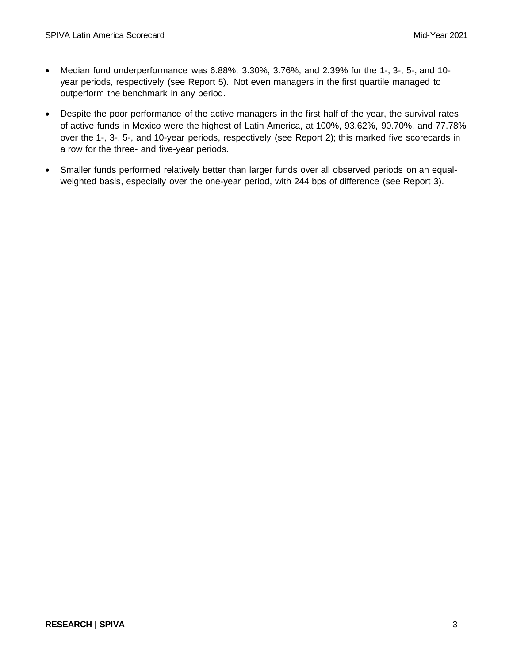- Median fund underperformance was 6.88%, 3.30%, 3.76%, and 2.39% for the 1-, 3-, 5-, and 10 year periods, respectively (see Report 5). Not even managers in the first quartile managed to outperform the benchmark in any period.
- Despite the poor performance of the active managers in the first half of the year, the survival rates of active funds in Mexico were the highest of Latin America, at 100%, 93.62%, 90.70%, and 77.78% over the 1-, 3-, 5-, and 10-year periods, respectively (see Report 2); this marked five scorecards in a row for the three- and five-year periods.
- Smaller funds performed relatively better than larger funds over all observed periods on an equalweighted basis, especially over the one-year period, with 244 bps of difference (see Report 3).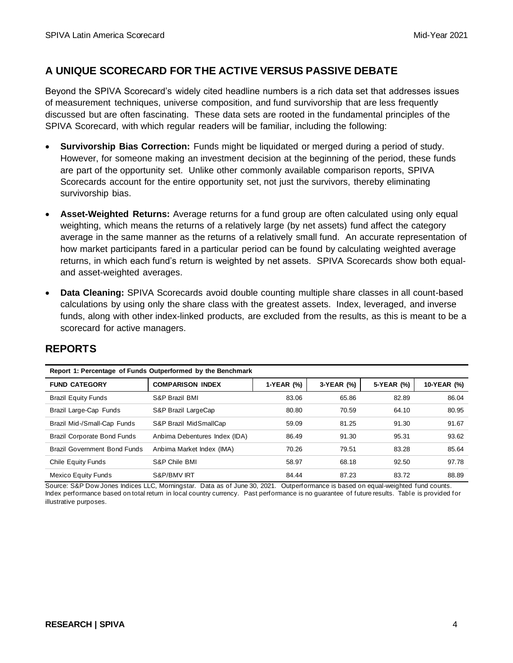## **A UNIQUE SCORECARD FOR THE ACTIVE VERSUS PASSIVE DEBATE**

Beyond the SPIVA Scorecard's widely cited headline numbers is a rich data set that addresses issues of measurement techniques, universe composition, and fund survivorship that are less frequently discussed but are often fascinating. These data sets are rooted in the fundamental principles of the SPIVA Scorecard, with which regular readers will be familiar, including the following:

- **Survivorship Bias Correction:** Funds might be liquidated or merged during a period of study. However, for someone making an investment decision at the beginning of the period, these funds are part of the opportunity set. Unlike other commonly available comparison reports, SPIVA Scorecards account for the entire opportunity set, not just the survivors, thereby eliminating survivorship bias.
- **Asset-Weighted Returns:** Average returns for a fund group are often calculated using only equal weighting, which means the returns of a relatively large (by net assets) fund affect the category average in the same manner as the returns of a relatively small fund. An accurate representation of how market participants fared in a particular period can be found by calculating weighted average returns, in which each fund's return is weighted by net assets. SPIVA Scorecards show both equaland asset-weighted averages.
- **Data Cleaning:** SPIVA Scorecards avoid double counting multiple share classes in all count-based calculations by using only the share class with the greatest assets. Index, leveraged, and inverse funds, along with other index-linked products, are excluded from the results, as this is meant to be a scorecard for active managers.

| Report 1: Percentage of Funds Outperformed by the Benchmark |                               |            |            |            |             |
|-------------------------------------------------------------|-------------------------------|------------|------------|------------|-------------|
| <b>FUND CATEGORY</b>                                        | <b>COMPARISON INDEX</b>       | 1-YEAR (%) | 3-YEAR (%) | 5-YEAR (%) | 10-YEAR (%) |
| <b>Brazil Equity Funds</b>                                  | S&P Brazil BMI                | 83.06      | 65.86      | 82.89      | 86.04       |
| Brazil Large-Cap Funds                                      | S&P Brazil LargeCap           | 80.80      | 70.59      | 64.10      | 80.95       |
| Brazil Mid-/Small-Cap Funds                                 | S&P Brazil MidSmallCap        | 59.09      | 81.25      | 91.30      | 91.67       |
| <b>Brazil Corporate Bond Funds</b>                          | Anbima Debentures Index (IDA) | 86.49      | 91.30      | 95.31      | 93.62       |
| Brazil Government Bond Funds                                | Anbima Market Index (IMA)     | 70.26      | 79.51      | 83.28      | 85.64       |
| Chile Equity Funds                                          | S&P Chile BMI                 | 58.97      | 68.18      | 92.50      | 97.78       |
| Mexico Equity Funds                                         | S&P/BMV IRT                   | 84.44      | 87.23      | 83.72      | 88.89       |

## **REPORTS**

Source: S&P Dow Jones Indices LLC, Morningstar. Data as of June 30, 2021. Outperformance is based on equal-weighted fund counts. Index performance based on total return in local country currency. Past performance is no guarantee of future results. Table is provided for illustrative purposes.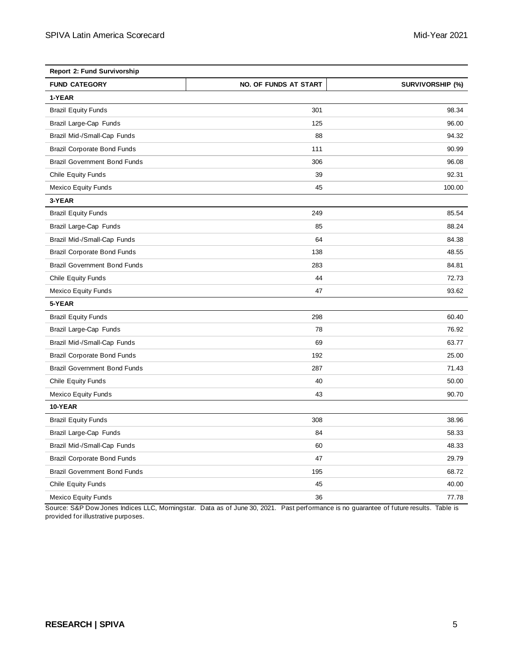| <b>Report 2: Fund Survivorship</b>  |                              |                         |  |
|-------------------------------------|------------------------------|-------------------------|--|
| <b>FUND CATEGORY</b>                | <b>NO. OF FUNDS AT START</b> | <b>SURVIVORSHIP (%)</b> |  |
| 1-YEAR                              |                              |                         |  |
| <b>Brazil Equity Funds</b>          | 301                          | 98.34                   |  |
| Brazil Large-Cap Funds              | 125                          | 96.00                   |  |
| Brazil Mid-/Small-Cap Funds         | 88                           | 94.32                   |  |
| <b>Brazil Corporate Bond Funds</b>  | 111                          | 90.99                   |  |
| <b>Brazil Government Bond Funds</b> | 306                          | 96.08                   |  |
| <b>Chile Equity Funds</b>           | 39                           | 92.31                   |  |
| <b>Mexico Equity Funds</b>          | 45                           | 100.00                  |  |
| 3-YEAR                              |                              |                         |  |
| <b>Brazil Equity Funds</b>          | 249                          | 85.54                   |  |
| Brazil Large-Cap Funds              | 85                           | 88.24                   |  |
| Brazil Mid-/Small-Cap Funds         | 64                           | 84.38                   |  |
| <b>Brazil Corporate Bond Funds</b>  | 138                          | 48.55                   |  |
| <b>Brazil Government Bond Funds</b> | 283                          | 84.81                   |  |
| <b>Chile Equity Funds</b>           | 44                           | 72.73                   |  |
| <b>Mexico Equity Funds</b>          | 47                           | 93.62                   |  |
| 5-YEAR                              |                              |                         |  |
| <b>Brazil Equity Funds</b>          | 298                          | 60.40                   |  |
| Brazil Large-Cap Funds              | 78                           | 76.92                   |  |
| Brazil Mid-/Small-Cap Funds         | 69                           | 63.77                   |  |
| <b>Brazil Corporate Bond Funds</b>  | 192                          | 25.00                   |  |
| <b>Brazil Government Bond Funds</b> | 287                          | 71.43                   |  |
| <b>Chile Equity Funds</b>           | 40                           | 50.00                   |  |
| <b>Mexico Equity Funds</b>          | 43                           | 90.70                   |  |
| 10-YEAR                             |                              |                         |  |
| <b>Brazil Equity Funds</b>          | 308                          | 38.96                   |  |
| Brazil Large-Cap Funds              | 84                           | 58.33                   |  |
| Brazil Mid-/Small-Cap Funds         | 60                           | 48.33                   |  |
| <b>Brazil Corporate Bond Funds</b>  | 47                           | 29.79                   |  |
| <b>Brazil Government Bond Funds</b> | 195                          | 68.72                   |  |
| Chile Equity Funds                  | 45                           | 40.00                   |  |
| <b>Mexico Equity Funds</b>          | 36                           | 77.78                   |  |

Source: S&P Dow Jones Indices LLC, Morningstar. Data as of June 30, 2021. Past performance is no guarantee of future results. Table is provided for illustrative purposes.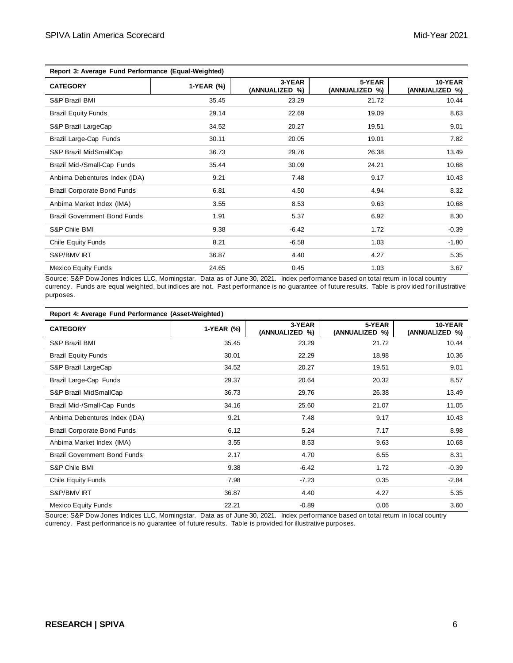| Report 3: Average Fund Performance (Equal-Weighted) |            |                          |                          |                           |  |
|-----------------------------------------------------|------------|--------------------------|--------------------------|---------------------------|--|
| <b>CATEGORY</b>                                     | 1-YEAR (%) | 3-YEAR<br>(ANNUALIZED %) | 5-YEAR<br>(ANNUALIZED %) | 10-YEAR<br>(ANNUALIZED %) |  |
| S&P Brazil BMI                                      | 35.45      | 23.29                    | 21.72                    | 10.44                     |  |
| <b>Brazil Equity Funds</b>                          | 29.14      | 22.69                    | 19.09                    | 8.63                      |  |
| S&P Brazil LargeCap                                 | 34.52      | 20.27                    | 19.51                    | 9.01                      |  |
| Brazil Large-Cap Funds                              | 30.11      | 20.05                    | 19.01                    | 7.82                      |  |
| S&P Brazil MidSmallCap                              | 36.73      | 29.76                    | 26.38                    | 13.49                     |  |
| Brazil Mid-/Small-Cap Funds                         | 35.44      | 30.09                    | 24.21                    | 10.68                     |  |
| Anbima Debentures Index (IDA)                       | 9.21       | 7.48                     | 9.17                     | 10.43                     |  |
| <b>Brazil Corporate Bond Funds</b>                  | 6.81       | 4.50                     | 4.94                     | 8.32                      |  |
| Anbima Market Index (IMA)                           | 3.55       | 8.53                     | 9.63                     | 10.68                     |  |
| <b>Brazil Government Bond Funds</b>                 | 1.91       | 5.37                     | 6.92                     | 8.30                      |  |
| S&P Chile BMI                                       | 9.38       | $-6.42$                  | 1.72                     | $-0.39$                   |  |
| Chile Equity Funds                                  | 8.21       | $-6.58$                  | 1.03                     | $-1.80$                   |  |
| S&P/BMV IRT                                         | 36.87      | 4.40                     | 4.27                     | 5.35                      |  |
| <b>Mexico Equity Funds</b>                          | 24.65      | 0.45                     | 1.03                     | 3.67                      |  |

Source: S&P Dow Jones Indices LLC, Morningstar. Data as of June 30, 2021. Index performance based on total return in local country currency. Funds are equal weighted, but indices are not. Past performance is no guarantee of future results. Table is prov ided for illustrative purposes.

| Report 4: Average Fund Performance (Asset-Weighted) |            |                          |                          |                           |
|-----------------------------------------------------|------------|--------------------------|--------------------------|---------------------------|
| <b>CATEGORY</b>                                     | 1-YEAR (%) | 3-YEAR<br>(ANNUALIZED %) | 5-YEAR<br>(ANNUALIZED %) | 10-YEAR<br>(ANNUALIZED %) |
| S&P Brazil BMI                                      | 35.45      | 23.29                    | 21.72                    | 10.44                     |
| <b>Brazil Equity Funds</b>                          | 30.01      | 22.29                    | 18.98                    | 10.36                     |
| S&P Brazil LargeCap                                 | 34.52      | 20.27                    | 19.51                    | 9.01                      |
| Brazil Large-Cap Funds                              | 29.37      | 20.64                    | 20.32                    | 8.57                      |
| S&P Brazil MidSmallCap                              | 36.73      | 29.76                    | 26.38                    | 13.49                     |
| Brazil Mid-/Small-Cap Funds                         | 34.16      | 25.60                    | 21.07                    | 11.05                     |
| Anbima Debentures Index (IDA)                       | 9.21       | 7.48                     | 9.17                     | 10.43                     |
| <b>Brazil Corporate Bond Funds</b>                  | 6.12       | 5.24                     | 7.17                     | 8.98                      |
| Anbima Market Index (IMA)                           | 3.55       | 8.53                     | 9.63                     | 10.68                     |
| <b>Brazil Government Bond Funds</b>                 | 2.17       | 4.70                     | 6.55                     | 8.31                      |
| S&P Chile BMI                                       | 9.38       | $-6.42$                  | 1.72                     | $-0.39$                   |
| Chile Equity Funds                                  | 7.98       | $-7.23$                  | 0.35                     | $-2.84$                   |
| S&P/BMV IRT                                         | 36.87      | 4.40                     | 4.27                     | 5.35                      |
| <b>Mexico Equity Funds</b>                          | 22.21      | $-0.89$                  | 0.06                     | 3.60                      |

Source: S&P Dow Jones Indices LLC, Morningstar. Data as of June 30, 2021. Index performance based on total return in local country currency. Past performance is no guarantee of future results. Table is provided for illustrative purposes.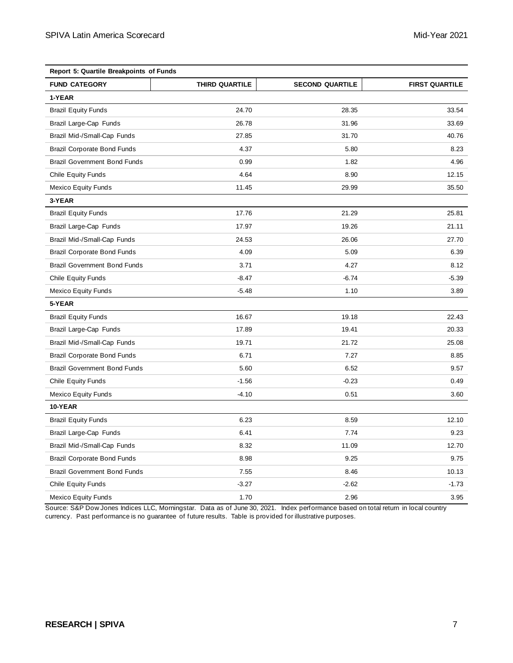| Report 5: Quartile Breakpoints of Funds |                       |                        |                       |  |
|-----------------------------------------|-----------------------|------------------------|-----------------------|--|
| <b>FUND CATEGORY</b>                    | <b>THIRD QUARTILE</b> | <b>SECOND QUARTILE</b> | <b>FIRST QUARTILE</b> |  |
| 1-YEAR                                  |                       |                        |                       |  |
| <b>Brazil Equity Funds</b>              | 24.70                 | 28.35                  | 33.54                 |  |
| Brazil Large-Cap Funds                  | 26.78                 | 31.96                  | 33.69                 |  |
| Brazil Mid-/Small-Cap Funds             | 27.85                 | 31.70                  | 40.76                 |  |
| <b>Brazil Corporate Bond Funds</b>      | 4.37                  | 5.80                   | 8.23                  |  |
| <b>Brazil Government Bond Funds</b>     | 0.99                  | 1.82                   | 4.96                  |  |
| <b>Chile Equity Funds</b>               | 4.64                  | 8.90                   | 12.15                 |  |
| Mexico Equity Funds                     | 11.45                 | 29.99                  | 35.50                 |  |
| 3-YEAR                                  |                       |                        |                       |  |
| <b>Brazil Equity Funds</b>              | 17.76                 | 21.29                  | 25.81                 |  |
| Brazil Large-Cap Funds                  | 17.97                 | 19.26                  | 21.11                 |  |
| Brazil Mid-/Small-Cap Funds             | 24.53                 | 26.06                  | 27.70                 |  |
| <b>Brazil Corporate Bond Funds</b>      | 4.09                  | 5.09                   | 6.39                  |  |
| <b>Brazil Government Bond Funds</b>     | 3.71                  | 4.27                   | 8.12                  |  |
| <b>Chile Equity Funds</b>               | $-8.47$               | $-6.74$                | $-5.39$               |  |
| <b>Mexico Equity Funds</b>              | $-5.48$               | 1.10                   | 3.89                  |  |
| 5-YEAR                                  |                       |                        |                       |  |
| <b>Brazil Equity Funds</b>              | 16.67                 | 19.18                  | 22.43                 |  |
| Brazil Large-Cap Funds                  | 17.89                 | 19.41                  | 20.33                 |  |
| Brazil Mid-/Small-Cap Funds             | 19.71                 | 21.72                  | 25.08                 |  |
| <b>Brazil Corporate Bond Funds</b>      | 6.71                  | 7.27                   | 8.85                  |  |
| <b>Brazil Government Bond Funds</b>     | 5.60                  | 6.52                   | 9.57                  |  |
| <b>Chile Equity Funds</b>               | $-1.56$               | $-0.23$                | 0.49                  |  |
| <b>Mexico Equity Funds</b>              | $-4.10$               | 0.51                   | 3.60                  |  |
| 10-YEAR                                 |                       |                        |                       |  |
| <b>Brazil Equity Funds</b>              | 6.23                  | 8.59                   | 12.10                 |  |
| Brazil Large-Cap Funds                  | 6.41                  | 7.74                   | 9.23                  |  |
| Brazil Mid-/Small-Cap Funds             | 8.32                  | 11.09                  | 12.70                 |  |
| <b>Brazil Corporate Bond Funds</b>      | 8.98                  | 9.25                   | 9.75                  |  |
| <b>Brazil Government Bond Funds</b>     | 7.55                  | 8.46                   | 10.13                 |  |
| <b>Chile Equity Funds</b>               | $-3.27$               | $-2.62$                | $-1.73$               |  |
| <b>Mexico Equity Funds</b>              | 1.70                  | 2.96                   | 3.95                  |  |

Source: S&P Dow Jones Indices LLC, Morningstar. Data as of June 30, 2021. Index performance based on total return in local country currency. Past performance is no guarantee of future results. Table is provided for illustrative purposes.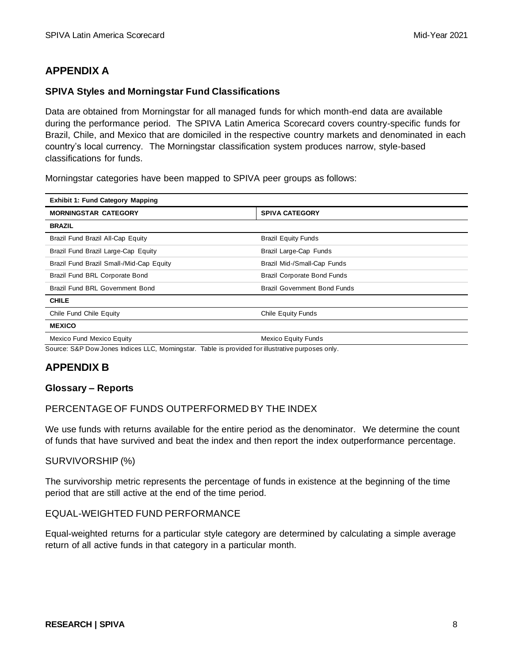## **APPENDIX A**

#### **SPIVA Styles and Morningstar Fund Classifications**

Data are obtained from Morningstar for all managed funds for which month-end data are available during the performance period. The SPIVA Latin America Scorecard covers country-specific funds for Brazil, Chile, and Mexico that are domiciled in the respective country markets and denominated in each country's local currency. The Morningstar classification system produces narrow, style-based classifications for funds.

Morningstar categories have been mapped to SPIVA peer groups as follows:

| <b>Exhibit 1: Fund Category Mapping</b>  |                                     |  |  |
|------------------------------------------|-------------------------------------|--|--|
| <b>MORNINGSTAR CATEGORY</b>              | <b>SPIVA CATEGORY</b>               |  |  |
| <b>BRAZIL</b>                            |                                     |  |  |
| Brazil Fund Brazil All-Cap Equity        | <b>Brazil Equity Funds</b>          |  |  |
| Brazil Fund Brazil Large-Cap Equity      | Brazil Large-Cap Funds              |  |  |
| Brazil Fund Brazil Small-/Mid-Cap Equity | Brazil Mid-/Small-Cap Funds         |  |  |
| Brazil Fund BRL Corporate Bond           | <b>Brazil Corporate Bond Funds</b>  |  |  |
| Brazil Fund BRL Government Bond          | <b>Brazil Government Bond Funds</b> |  |  |
| <b>CHILE</b>                             |                                     |  |  |
| Chile Fund Chile Equity                  | Chile Equity Funds                  |  |  |
| <b>MEXICO</b>                            |                                     |  |  |
| <b>Mexico Fund Mexico Equity</b>         | <b>Mexico Equity Funds</b>          |  |  |

Source: S&P Dow Jones Indices LLC, Morningstar. Table is provided for illustrative purposes only.

## **APPENDIX B**

#### **Glossary – Reports**

#### PERCENTAGE OF FUNDS OUTPERFORMED BY THE INDEX

We use funds with returns available for the entire period as the denominator. We determine the count of funds that have survived and beat the index and then report the index outperformance percentage.

#### SURVIVORSHIP (%)

The survivorship metric represents the percentage of funds in existence at the beginning of the time period that are still active at the end of the time period.

#### EQUAL-WEIGHTED FUND PERFORMANCE

Equal-weighted returns for a particular style category are determined by calculating a simple average return of all active funds in that category in a particular month.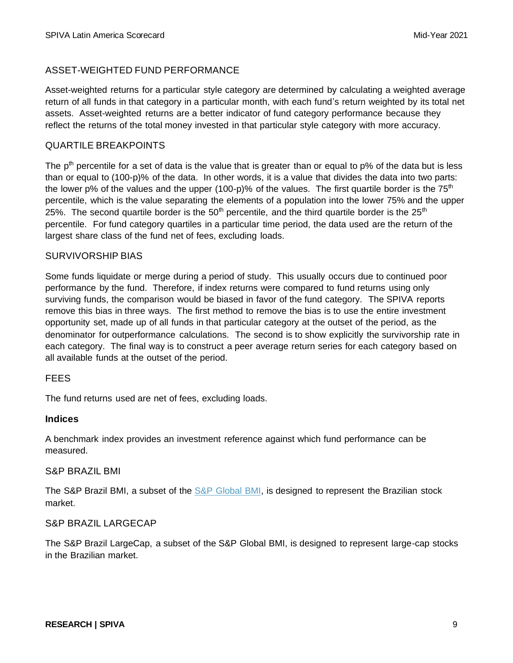#### ASSET-WEIGHTED FUND PERFORMANCE

Asset-weighted returns for a particular style category are determined by calculating a weighted average return of all funds in that category in a particular month, with each fund's return weighted by its total net assets. Asset-weighted returns are a better indicator of fund category performance because they reflect the returns of the total money invested in that particular style category with more accuracy.

#### QUARTILE BREAKPOINTS

The  $p<sup>th</sup>$  percentile for a set of data is the value that is greater than or equal to  $p\%$  of the data but is less than or equal to (100-p)% of the data. In other words, it is a value that divides the data into two parts: the lower p% of the values and the upper (100-p)% of the values. The first quartile border is the  $75<sup>th</sup>$ percentile, which is the value separating the elements of a population into the lower 75% and the upper 25%. The second quartile border is the  $50<sup>th</sup>$  percentile, and the third quartile border is the  $25<sup>th</sup>$ percentile. For fund category quartiles in a particular time period, the data used are the return of the largest share class of the fund net of fees, excluding loads.

#### SURVIVORSHIP BIAS

Some funds liquidate or merge during a period of study. This usually occurs due to continued poor performance by the fund. Therefore, if index returns were compared to fund returns using only surviving funds, the comparison would be biased in favor of the fund category. The SPIVA reports remove this bias in three ways. The first method to remove the bias is to use the entire investment opportunity set, made up of all funds in that particular category at the outset of the period, as the denominator for outperformance calculations. The second is to show explicitly the survivorship rate in each category. The final way is to construct a peer average return series for each category based on all available funds at the outset of the period.

#### FEES

The fund returns used are net of fees, excluding loads.

#### **Indices**

A benchmark index provides an investment reference against which fund performance can be measured.

#### S&P BRAZIL BMI

The S&P Brazil BMI, a subset of the [S&P Global BMI,](https://www.spglobal.com/spdji/en/indices/equity/sp-global-bmi/?utm_source=pdf_spiva) is designed to represent the Brazilian stock market.

#### S&P BRAZIL LARGECAP

The S&P Brazil LargeCap, a subset of the S&P Global BMI, is designed to represent large-cap stocks in the Brazilian market.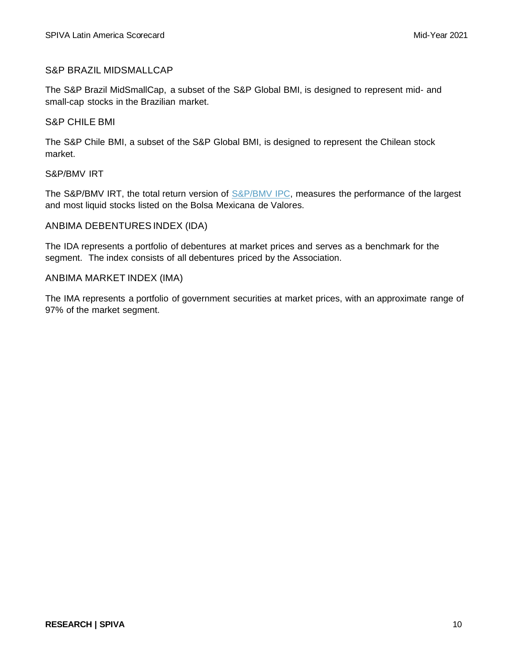#### S&P BRAZIL MIDSMALLCAP

The S&P Brazil MidSmallCap, a subset of the S&P Global BMI, is designed to represent mid- and small-cap stocks in the Brazilian market.

#### S&P CHILE BMI

The S&P Chile BMI, a subset of the S&P Global BMI, is designed to represent the Chilean stock market.

#### S&P/BMV IRT

The S&P/BMV IRT, the total return version of [S&P/BMV IPC,](https://www.spglobal.com/spdji/en/indices/equity/sp-bmv-ipc/?utm_source=pdf_spiva) measures the performance of the largest and most liquid stocks listed on the Bolsa Mexicana de Valores.

#### ANBIMA DEBENTURES INDEX (IDA)

The IDA represents a portfolio of debentures at market prices and serves as a benchmark for the segment. The index consists of all debentures priced by the Association.

#### ANBIMA MARKET INDEX (IMA)

The IMA represents a portfolio of government securities at market prices, with an approximate range of 97% of the market segment.